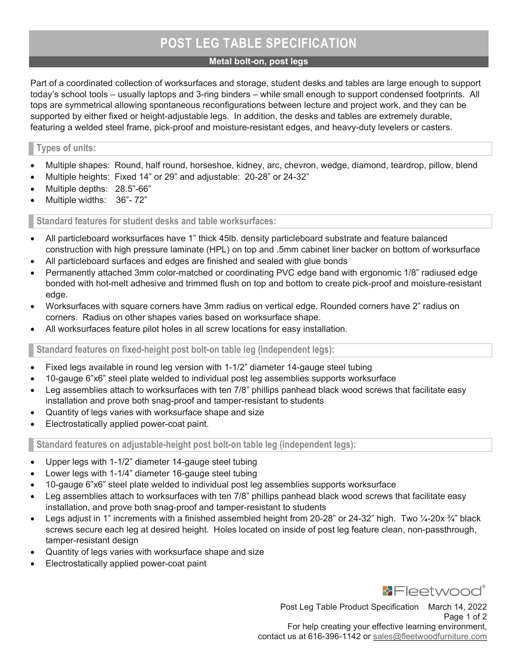# POST LEG TABLE SPECIFICATION

#### Metal bolt-on, post legs

Part of a coordinated collection of worksurfaces and storage, student desks and tables are large enough to support today's school tools – usually laptops and 3-ring binders – while small enough to support condensed footprints. All tops are symmetrical allowing spontaneous reconfigurations between lecture and project work, and they can be supported by either fixed or height-adjustable legs. In addition, the desks and tables are extremely durable, featuring a welded steel frame, pick-proof and moisture-resistant edges, and heavy-duty levelers or casters.

## Types of units:

- Multiple shapes: Round, half round, horseshoe, kidney, arc, chevron, wedge, diamond, teardrop, pillow, blend
- Multiple heights: Fixed 14" or 29" and adjustable: 20-28" or 24-32"
- Multiple depths: 28.5"-66"
- Multiple widths: 36"- 72"

Standard features for student desks and table worksurfaces:

- All particleboard worksurfaces have 1" thick 45lb. density particleboard substrate and feature balanced construction with high pressure laminate (HPL) on top and .5mm cabinet liner backer on bottom of worksurface
- All particleboard surfaces and edges are finished and sealed with glue bonds
- Permanently attached 3mm color-matched or coordinating PVC edge band with ergonomic 1/8" radiused edge bonded with hot-melt adhesive and trimmed flush on top and bottom to create pick-proof and moisture-resistant edge.
- Worksurfaces with square corners have 3mm radius on vertical edge. Rounded corners have 2" radius on corners. Radius on other shapes varies based on worksurface shape.
- All worksurfaces feature pilot holes in all screw locations for easy installation.

Standard features on fixed-height post bolt-on table leg (independent legs):

- Fixed legs available in round leg version with 1-1/2" diameter 14-gauge steel tubing
- 10-gauge 6"x6" steel plate welded to individual post leg assemblies supports worksurface
- Leg assemblies attach to worksurfaces with ten 7/8" phillips panhead black wood screws that facilitate easy installation and prove both snag-proof and tamper-resistant to students
- Quantity of legs varies with worksurface shape and size
- Electrostatically applied power-coat paint.

Standard features on adjustable-height post bolt-on table leg (independent legs):

- Upper legs with 1-1/2" diameter 14-gauge steel tubing
- Lower legs with 1-1/4" diameter 16-gauge steel tubing
- 10-gauge 6"x6" steel plate welded to individual post leg assemblies supports worksurface
- Leg assemblies attach to worksurfaces with ten 7/8" phillips panhead black wood screws that facilitate easy installation, and prove both snag-proof and tamper-resistant to students
- Legs adjust in 1" increments with a finished assembled height from 20-28" or 24-32" high. Two ¼-20x ¼" black screws secure each leg at desired height. Holes located on inside of post leg feature clean, non-passthrough, tamper-resistant design
- Quantity of legs varies with worksurface shape and size
- Electrostatically applied power-coat paint



Post Leg Table Product Specification March 14, 2022 Page 1 of 2

For help creating your effective learning environment, contact us at 616-396-1142 or sales@fleetwoodfurniture.com